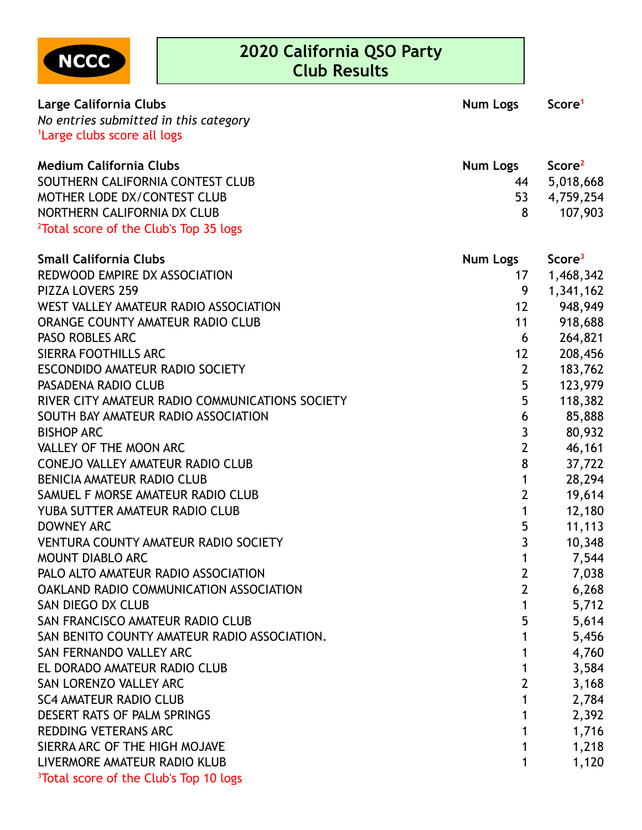

| Large California Clubs                             | <b>Num Logs</b> | Score <sup>1</sup> |
|----------------------------------------------------|-----------------|--------------------|
| No entries submitted in this category              |                 |                    |
| <sup>1</sup> Large clubs score all logs            |                 |                    |
| <b>Medium California Clubs</b>                     | Num Logs        | Score <sup>2</sup> |
| SOUTHERN CALIFORNIA CONTEST CLUB                   | 44              | 5,018,668          |
| MOTHER LODE DX/CONTEST CLUB                        | 53              | 4,759,254          |
| NORTHERN CALIFORNIA DX CLUB                        | 8               | 107,903            |
| <sup>2</sup> Total score of the Club's Top 35 logs |                 |                    |
| <b>Small California Clubs</b>                      | <b>Num Logs</b> | Score <sup>3</sup> |
| REDWOOD EMPIRE DX ASSOCIATION                      | 17              | 1,468,342          |
| <b>PIZZA LOVERS 259</b>                            | 9               | 1,341,162          |
| WEST VALLEY AMATEUR RADIO ASSOCIATION              | 12              | 948,949            |
| ORANGE COUNTY AMATEUR RADIO CLUB                   | 11              | 918,688            |
| <b>PASO ROBLES ARC</b>                             | 6               | 264,821            |
| SIERRA FOOTHILLS ARC                               | 12              | 208,456            |
| ESCONDIDO AMATEUR RADIO SOCIETY                    | $\overline{2}$  | 183,762            |
| PASADENA RADIO CLUB                                | 5               | 123,979            |
| RIVER CITY AMATEUR RADIO COMMUNICATIONS SOCIETY    | 5               | 118,382            |
| SOUTH BAY AMATEUR RADIO ASSOCIATION                | 6               | 85,888             |
| <b>BISHOP ARC</b>                                  | $\mathfrak{Z}$  | 80,932             |
| VALLEY OF THE MOON ARC                             | $\overline{2}$  | 46,161             |
| <b>CONEJO VALLEY AMATEUR RADIO CLUB</b>            | 8               | 37,722             |
| <b>BENICIA AMATEUR RADIO CLUB</b>                  | 1               | 28,294             |
| SAMUEL F MORSE AMATEUR RADIO CLUB                  | $\overline{2}$  | 19,614             |
| YUBA SUTTER AMATEUR RADIO CLUB                     | 1               | 12,180             |
| <b>DOWNEY ARC</b>                                  | 5               | 11,113             |
| <b>VENTURA COUNTY AMATEUR RADIO SOCIETY</b>        | 3               | 10,348             |
| MOUNT DIABLO ARC                                   | 1               | 7,544              |
| PALO ALTO AMATEUR RADIO ASSOCIATION                | 2               | 7,038              |
| OAKLAND RADIO COMMUNICATION ASSOCIATION            | $\overline{2}$  | 6,268              |
| SAN DIEGO DX CLUB                                  | 1               | 5,712              |
| SAN FRANCISCO AMATEUR RADIO CLUB                   | 5               | 5,614              |
| SAN BENITO COUNTY AMATEUR RADIO ASSOCIATION.       | 1               | 5,456              |
| SAN FERNANDO VALLEY ARC                            | 1               | 4,760              |
| EL DORADO AMATEUR RADIO CLUB                       | 1               | 3,584              |
| SAN LORENZO VALLEY ARC                             | $\overline{2}$  | 3,168              |
| <b>SC4 AMATEUR RADIO CLUB</b>                      | 1               | 2,784              |
| DESERT RATS OF PALM SPRINGS                        | 1               | 2,392              |
| <b>REDDING VETERANS ARC</b>                        | 1               | 1,716              |
| SIERRA ARC OF THE HIGH MOJAVE                      | 1               | 1,218              |
| LIVERMORE AMATEUR RADIO KLUB                       | 1               | 1,120              |
| <sup>3</sup> Total score of the Club's Top 10 logs |                 |                    |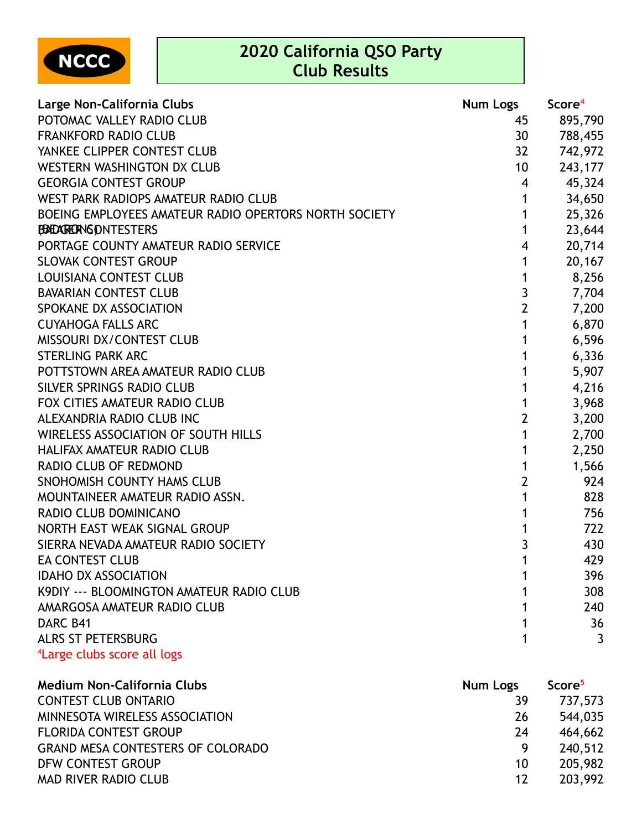NCCC

| Large Non-California Clubs                            | <b>Num Logs</b>         | Score <sup>4</sup> |
|-------------------------------------------------------|-------------------------|--------------------|
| POTOMAC VALLEY RADIO CLUB                             | 45                      | 895,790            |
| <b>FRANKFORD RADIO CLUB</b>                           | 30                      | 788,455            |
| YANKEE CLIPPER CONTEST CLUB                           | 32                      | 742,972            |
| WESTERN WASHINGTON DX CLUB                            | 10                      | 243,177            |
| <b>GEORGIA CONTEST GROUP</b>                          | 4                       | 45,324             |
| WEST PARK RADIOPS AMATEUR RADIO CLUB                  | 1                       | 34,650             |
| BOEING EMPLOYEES AMATEUR RADIO OPERTORS NORTH SOCIETY | 1                       | 25,326             |
| BADARERNGONTESTERS                                    | 1                       | 23,644             |
| PORTAGE COUNTY AMATEUR RADIO SERVICE                  | $\overline{\mathbf{4}}$ | 20,714             |
| <b>SLOVAK CONTEST GROUP</b>                           | 1                       | 20,167             |
| <b>LOUISIANA CONTEST CLUB</b>                         | 1                       | 8,256              |
| <b>BAVARIAN CONTEST CLUB</b>                          | 3                       | 7,704              |
| SPOKANE DX ASSOCIATION                                | $\overline{2}$          | 7,200              |
| <b>CUYAHOGA FALLS ARC</b>                             | 1                       | 6,870              |
| <b>MISSOURI DX/CONTEST CLUB</b>                       | 1                       | 6,596              |
| <b>STERLING PARK ARC</b>                              | 1                       | 6,336              |
| POTTSTOWN AREA AMATEUR RADIO CLUB                     | 1                       | 5,907              |
| SILVER SPRINGS RADIO CLUB                             |                         | 4,216              |
| FOX CITIES AMATEUR RADIO CLUB                         |                         | 3,968              |
| ALEXANDRIA RADIO CLUB INC                             | $\overline{2}$          | 3,200              |
| WIRELESS ASSOCIATION OF SOUTH HILLS                   | 1                       | 2,700              |
| HALIFAX AMATEUR RADIO CLUB                            |                         | 2,250              |
| <b>RADIO CLUB OF REDMOND</b>                          | 1                       | 1,566              |
| SNOHOMISH COUNTY HAMS CLUB                            | $\overline{2}$          | 924                |
| MOUNTAINEER AMATEUR RADIO ASSN.                       | 1                       | 828                |
| RADIO CLUB DOMINICANO                                 | 1                       | 756                |
| NORTH EAST WEAK SIGNAL GROUP                          | 1                       | 722                |
| SIERRA NEVADA AMATEUR RADIO SOCIETY                   | 3                       | 430                |
| <b>EA CONTEST CLUB</b>                                | 1                       | 429                |
| <b>IDAHO DX ASSOCIATION</b>                           |                         | 396                |
| K9DIY --- BLOOMINGTON AMATEUR RADIO CLUB              |                         | 308                |
| AMARGOSA AMATEUR RADIO CLUB                           |                         | 240                |
| DARC B41                                              |                         | 36                 |
| <b>ALRS ST PETERSBURG</b>                             |                         | 3                  |
| <sup>4</sup> Large clubs score all logs               |                         |                    |

| <b>Medium Non-California Clubs</b>       | Num Logs | Score <sup>5</sup> |
|------------------------------------------|----------|--------------------|
| <b>CONTEST CLUB ONTARIO</b>              | 39       | 737,573            |
| MINNESOTA WIRELESS ASSOCIATION           | 26       | 544,035            |
| <b>FLORIDA CONTEST GROUP</b>             | 24       | 464,662            |
| <b>GRAND MESA CONTESTERS OF COLORADO</b> | -9       | 240,512            |
| DFW CONTEST GROUP                        | 10       | 205,982            |
| <b>MAD RIVER RADIO CLUB</b>              | 12       | 203,992            |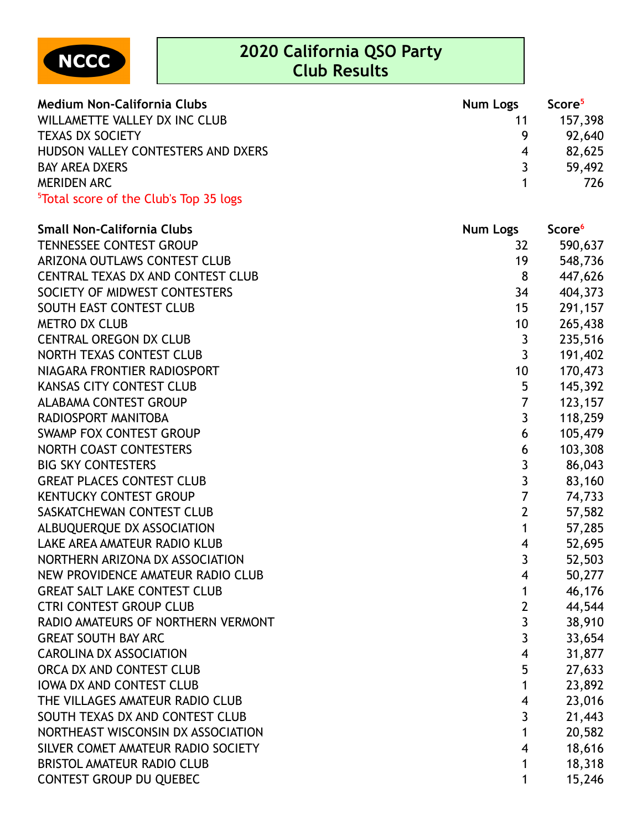

| <b>Medium Non-California Clubs</b>                 | <b>Num Logs</b> | Score <sup>5</sup> |
|----------------------------------------------------|-----------------|--------------------|
| WILLAMETTE VALLEY DX INC CLUB                      | 11              | 157,398            |
| <b>TEXAS DX SOCIETY</b>                            | <b>Q</b>        | 92,640             |
| HUDSON VALLEY CONTESTERS AND DXERS                 | 4               | 82,625             |
| <b>BAY AREA DXERS</b>                              |                 | 59,492             |
| <b>MERIDEN ARC</b>                                 |                 | 726                |
| <sup>5</sup> Total score of the Club's Top 35 logs |                 |                    |

| <b>Small Non-California Clubs</b>   | <b>Num Logs</b>         | Score <sup>6</sup> |
|-------------------------------------|-------------------------|--------------------|
| <b>TENNESSEE CONTEST GROUP</b>      | 32                      | 590,637            |
| ARIZONA OUTLAWS CONTEST CLUB        | 19                      | 548,736            |
| CENTRAL TEXAS DX AND CONTEST CLUB   | 8                       | 447,626            |
| SOCIETY OF MIDWEST CONTESTERS       | 34                      | 404,373            |
| SOUTH EAST CONTEST CLUB             | 15                      | 291,157            |
| <b>METRO DX CLUB</b>                | 10                      | 265,438            |
| <b>CENTRAL OREGON DX CLUB</b>       | 3                       | 235,516            |
| NORTH TEXAS CONTEST CLUB            | 3                       | 191,402            |
| NIAGARA FRONTIER RADIOSPORT         | 10                      | 170,473            |
| <b>KANSAS CITY CONTEST CLUB</b>     | 5                       | 145,392            |
| <b>ALABAMA CONTEST GROUP</b>        | $\overline{7}$          | 123,157            |
| RADIOSPORT MANITOBA                 | $\overline{3}$          | 118,259            |
| SWAMP FOX CONTEST GROUP             | 6                       | 105,479            |
| NORTH COAST CONTESTERS              | 6                       | 103,308            |
| <b>BIG SKY CONTESTERS</b>           | 3                       | 86,043             |
| <b>GREAT PLACES CONTEST CLUB</b>    | $\overline{3}$          | 83,160             |
| <b>KENTUCKY CONTEST GROUP</b>       | $\overline{7}$          | 74,733             |
| SASKATCHEWAN CONTEST CLUB           | $\mathbf{2}$            | 57,582             |
| ALBUQUERQUE DX ASSOCIATION          | $\mathbf 1$             | 57,285             |
| LAKE AREA AMATEUR RADIO KLUB        | 4                       | 52,695             |
| NORTHERN ARIZONA DX ASSOCIATION     | 3                       | 52,503             |
| NEW PROVIDENCE AMATEUR RADIO CLUB   | 4                       | 50,277             |
| <b>GREAT SALT LAKE CONTEST CLUB</b> | $\mathbf{1}$            | 46,176             |
| <b>CTRI CONTEST GROUP CLUB</b>      | $\mathbf{2}$            | 44,544             |
| RADIO AMATEURS OF NORTHERN VERMONT  | 3                       | 38,910             |
| <b>GREAT SOUTH BAY ARC</b>          | $\overline{3}$          | 33,654             |
| <b>CAROLINA DX ASSOCIATION</b>      | $\overline{\mathbf{4}}$ | 31,877             |
| ORCA DX AND CONTEST CLUB            | 5                       | 27,633             |
| <b>IOWA DX AND CONTEST CLUB</b>     | $\mathbf{1}$            | 23,892             |
| THE VILLAGES AMATEUR RADIO CLUB     | 4                       | 23,016             |
| SOUTH TEXAS DX AND CONTEST CLUB     | 3                       | 21,443             |
| NORTHEAST WISCONSIN DX ASSOCIATION  | 1                       | 20,582             |
| SILVER COMET AMATEUR RADIO SOCIETY  | 4                       | 18,616             |
| <b>BRISTOL AMATEUR RADIO CLUB</b>   | 1                       | 18,318             |
| <b>CONTEST GROUP DU QUEBEC</b>      | 1                       | 15,246             |